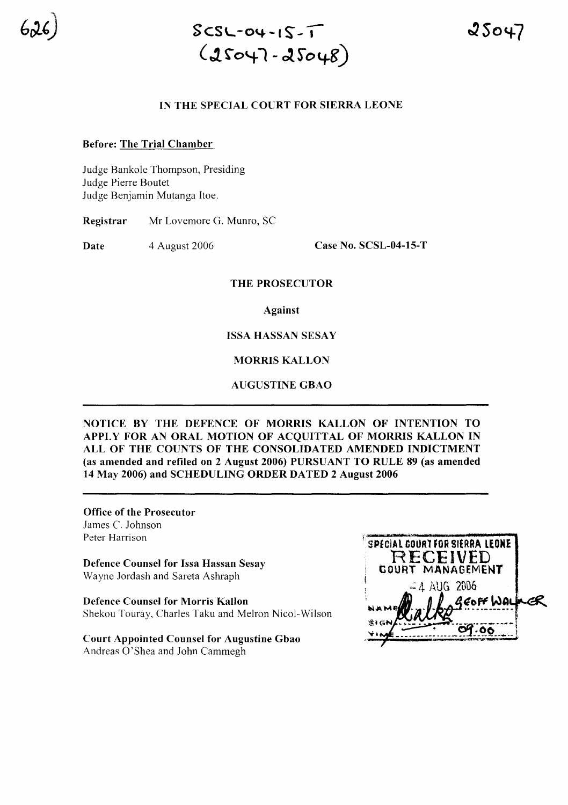

# SCSL-04-1 *S"-,*  $(25047 - 25048)$

#### IN THE SPECIAL COURT FOR SIERRA LEONE

#### Before: The Trial Chamber

Judge Bankole Thompson, Presiding Judge Pierre Boutet Judge Benjamin Mutanga Hoe.

Registrar Mr Lovemore G. Munro, SC

Date 4 August 2006 Case No. SCSL-04-15-T

#### THE PROSECUTOR

Against

ISSA HASSAN SESAY

MORRIS KALLON

AUGUSTINE GBAO

NOTICE BY THE DEFENCE OF MORRIS KALLON OF INTENTION TO APPLY FOR AN ORAL MOTION OF ACQUITTAL OF MORRIS KALLON IN ALL OF THE COUNTS OF THE CONSOLIDATED AMENDED INDICTMENT (as amended and refiled on 2 August 2006) PURSUANT TO RULE 89 (as amended 14 May 2006) and SCHEDULING ORDER DATED 2 August 2006

Office of the Prosecutor James C. Johnson Peter Harrison

Defence Counsel for Issa Hassan Sesay Wayne Jordash and Sareta Ashraph

Defence Counsel for Morris Kallon Shekou Touray, Charles Taku and Melron Nicol-Wilson

Court Appointed Counsel for Augustine Gbao Andreas O'Shea and John Cammegh